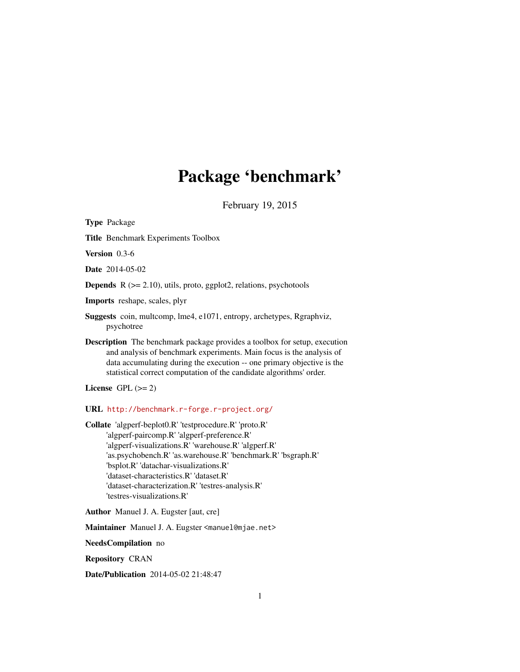# Package 'benchmark'

February 19, 2015

<span id="page-0-0"></span>Type Package Title Benchmark Experiments Toolbox Version 0.3-6 Date 2014-05-02 **Depends**  $R$  ( $>= 2.10$ ), utils, proto, ggplot2, relations, psychotools Imports reshape, scales, plyr Suggests coin, multcomp, lme4, e1071, entropy, archetypes, Rgraphviz, psychotree Description The benchmark package provides a toolbox for setup, execution and analysis of benchmark experiments. Main focus is the analysis of data accumulating during the execution -- one primary objective is the statistical correct computation of the candidate algorithms' order. License GPL  $(>= 2)$ URL <http://benchmark.r-forge.r-project.org/> Collate 'algperf-beplot0.R' 'testprocedure.R' 'proto.R' 'algperf-paircomp.R' 'algperf-preference.R' 'algperf-visualizations.R' 'warehouse.R' 'algperf.R' 'as.psychobench.R' 'as.warehouse.R' 'benchmark.R' 'bsgraph.R' 'bsplot.R' 'datachar-visualizations.R' 'dataset-characteristics.R' 'dataset.R' 'dataset-characterization.R' 'testres-analysis.R' 'testres-visualizations.R'

Author Manuel J. A. Eugster [aut, cre]

Maintainer Manuel J. A. Eugster <manuel@mjae.net>

NeedsCompilation no

Repository CRAN

Date/Publication 2014-05-02 21:48:47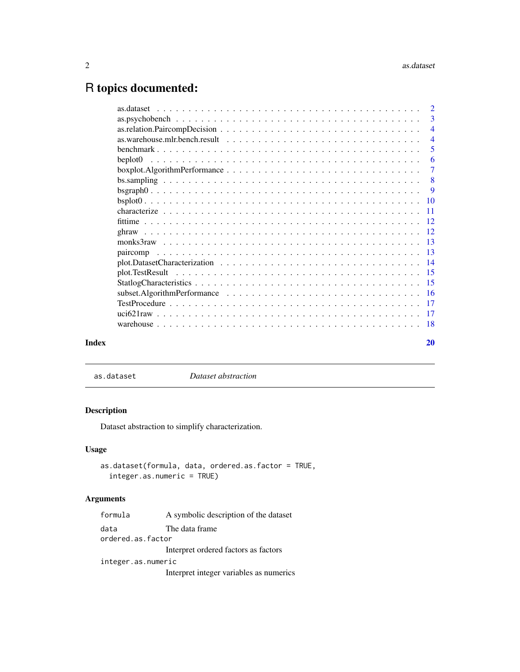## <span id="page-1-0"></span>R topics documented:

|       |                                                                                                                               | 3                         |
|-------|-------------------------------------------------------------------------------------------------------------------------------|---------------------------|
|       |                                                                                                                               | $\overline{4}$            |
|       |                                                                                                                               | $\overline{4}$            |
|       |                                                                                                                               | 5                         |
|       |                                                                                                                               | -6                        |
|       | $boxplot. Algorithm Performance \dots \dots \dots \dots \dots \dots \dots \dots \dots \dots \dots \dots \dots$                | $\overline{7}$            |
|       |                                                                                                                               | $\overline{\phantom{0}}8$ |
|       |                                                                                                                               |                           |
|       |                                                                                                                               |                           |
|       |                                                                                                                               |                           |
|       |                                                                                                                               |                           |
|       |                                                                                                                               |                           |
|       |                                                                                                                               |                           |
|       |                                                                                                                               |                           |
|       |                                                                                                                               |                           |
|       |                                                                                                                               |                           |
|       |                                                                                                                               |                           |
|       | subset. Algorithm Performance $\ldots \ldots \ldots \ldots \ldots \ldots \ldots \ldots \ldots \ldots \ldots \ldots \ldots 16$ |                           |
|       |                                                                                                                               |                           |
|       |                                                                                                                               |                           |
|       |                                                                                                                               |                           |
|       |                                                                                                                               |                           |
| Index |                                                                                                                               | 20                        |

<span id="page-1-1"></span>as.dataset *Dataset abstraction*

#### Description

Dataset abstraction to simplify characterization.

### Usage

```
as.dataset(formula, data, ordered.as.factor = TRUE,
  integer.as.numeric = TRUE)
```
### Arguments

| formula            | A symbolic description of the dataset   |  |
|--------------------|-----------------------------------------|--|
| data               | The data frame                          |  |
| ordered.as.factor  |                                         |  |
|                    | Interpret ordered factors as factors    |  |
| integer.as.numeric |                                         |  |
|                    | Interpret integer variables as numerics |  |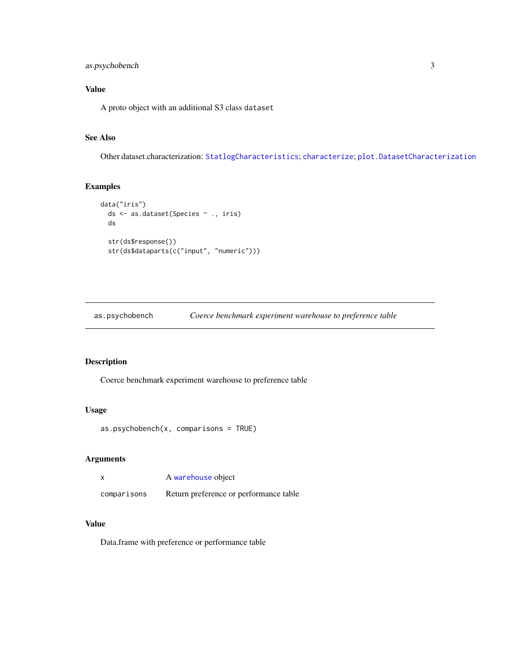#### <span id="page-2-0"></span>as.psychobench 3

### Value

A proto object with an additional S3 class dataset

### See Also

Other dataset.characterization: [StatlogCharacteristics](#page-14-1); [characterize](#page-10-1); [plot.DatasetCharacterization](#page-13-1)

#### Examples

```
data("iris")
  ds <- as.dataset(Species ~ ., iris)
  ds
  str(ds$response())
  str(ds$dataparts(c("input", "numeric")))
```
as.psychobench *Coerce benchmark experiment warehouse to preference table*

#### Description

Coerce benchmark experiment warehouse to preference table

#### Usage

```
as.psychobench(x, comparisons = TRUE)
```
#### Arguments

|             | A warehouse object                     |
|-------------|----------------------------------------|
| comparisons | Return preference or performance table |

#### Value

Data.frame with preference or performance table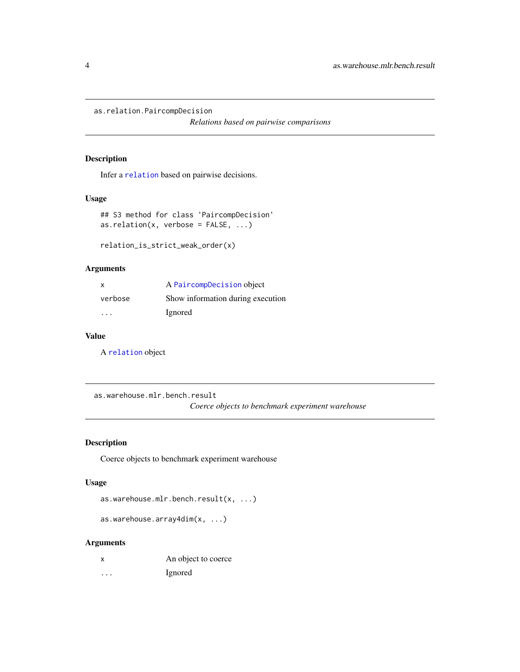<span id="page-3-0"></span>as.relation.PaircompDecision

*Relations based on pairwise comparisons*

#### Description

Infer a [relation](#page-0-0) based on pairwise decisions.

#### Usage

```
## S3 method for class 'PaircompDecision'
as. relation(x, verbose = FALSE, ...)
```

```
relation_is_strict_weak_order(x)
```
#### Arguments

| X.      | A PaircompDecision object         |
|---------|-----------------------------------|
| verbose | Show information during execution |
| .       | Ignored                           |

#### Value

A [relation](#page-0-0) object

as.warehouse.mlr.bench.result

*Coerce objects to benchmark experiment warehouse*

#### <span id="page-3-1"></span>Description

Coerce objects to benchmark experiment warehouse

#### Usage

```
as.warehouse.mlr.bench.result(x, ...)
```
as.warehouse.array4dim(x, ...)

#### Arguments

- x An object to coerce
- ... Ignored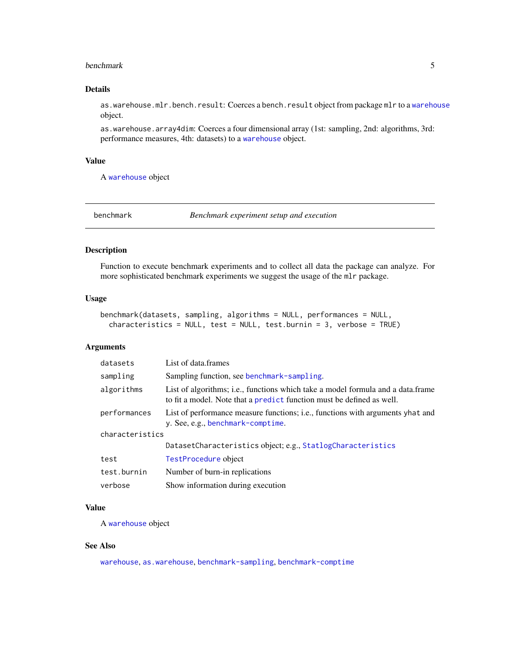#### <span id="page-4-0"></span>benchmark 5

#### Details

as.[warehouse](#page-17-1).mlr.bench.result: Coerces a bench.result object from package mlr to a warehouse object.

as.warehouse.array4dim: Coerces a four dimensional array (1st: sampling, 2nd: algorithms, 3rd: performance measures, 4th: datasets) to a [warehouse](#page-17-1) object.

#### Value

A [warehouse](#page-17-1) object

<span id="page-4-1"></span>benchmark *Benchmark experiment setup and execution*

#### Description

Function to execute benchmark experiments and to collect all data the package can analyze. For more sophisticated benchmark experiments we suggest the usage of the mlr package.

#### Usage

```
benchmark(datasets, sampling, algorithms = NULL, performances = NULL,
  characteristics = NULL, test = NULL, test.burnin = 3, verbose = TRUE)
```
#### Arguments

| datasets        | List of data frames                                                                                                                                      |
|-----------------|----------------------------------------------------------------------------------------------------------------------------------------------------------|
| sampling        | Sampling function, see benchmark-sampling.                                                                                                               |
| algorithms      | List of algorithms; i.e., functions which take a model formula and a data.frame<br>to fit a model. Note that a predict function must be defined as well. |
| performances    | List of performance measure functions; i.e., functions with arguments yhat and<br>y. See, e.g., benchmark-comptime.                                      |
| characteristics |                                                                                                                                                          |
|                 | DatasetCharacteristics object; e.g., StatlogCharacteristics                                                                                              |
| test            | TestProcedure object                                                                                                                                     |
| test.burnin     | Number of burn-in replications                                                                                                                           |
| verbose         | Show information during execution                                                                                                                        |
|                 |                                                                                                                                                          |

#### Value

A [warehouse](#page-17-1) object

#### See Also

[warehouse](#page-17-1), [as.warehouse](#page-3-1), [benchmark-sampling](#page-7-1), [benchmark-comptime](#page-11-1)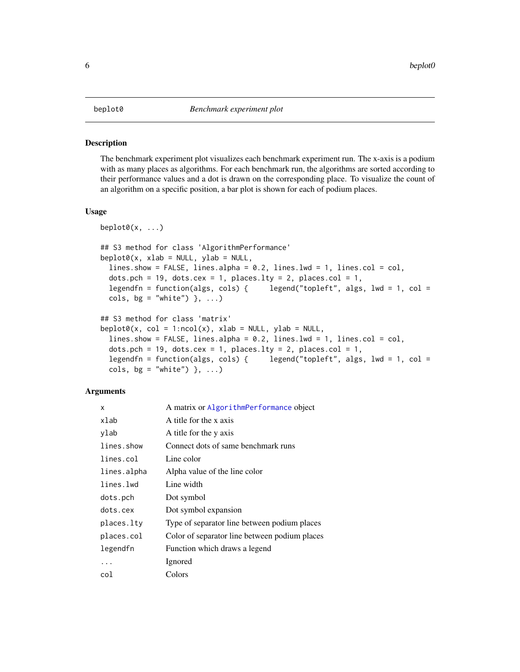<span id="page-5-2"></span><span id="page-5-1"></span><span id="page-5-0"></span>The benchmark experiment plot visualizes each benchmark experiment run. The x-axis is a podium with as many places as algorithms. For each benchmark run, the algorithms are sorted according to their performance values and a dot is drawn on the corresponding place. To visualize the count of an algorithm on a specific position, a bar plot is shown for each of podium places.

#### Usage

```
beplot0(x, \ldots)## S3 method for class 'AlgorithmPerformance'
beplot0(x, xlab = NULL, ylab = NULL,lines.show = FALSE, lines.alpha = 0.2, lines.lwd = 1, lines.col = col,
  dots.pch = 19, dots.cex = 1, places.lty = 2, places.col = 1,
  legendfn = function(algs, cols) { legend("topleft", algs, lwd = 1, col =
  cols, bg = "white") }, ...)
## S3 method for class 'matrix'
beplot0(x, col = 1:ncol(x), xlab = NULL, ylab = NULL,lines.show = FALSE, lines.alpha = 0.2, lines.lwd = 1, lines.col = col,
  dots.pch = 19, dots.cex = 1, places.lty = 2, places.col = 1,
  legendfn = function(algs, cols) { legend("topleft", algs, lwd = 1, col =
  cols, bg = "white") }, ...)
```
#### Arguments

| x           | A matrix or AlgorithmPerformance object       |
|-------------|-----------------------------------------------|
| xlab        | A title for the x axis                        |
| ylab        | A title for the y axis                        |
| lines.show  | Connect dots of same benchmark runs           |
| lines.col   | Line color                                    |
| lines.alpha | Alpha value of the line color                 |
| lines.lwd   | Line width                                    |
| dots.pch    | Dot symbol                                    |
| dots.cex    | Dot symbol expansion                          |
| places.lty  | Type of separator line between podium places  |
| places.col  | Color of separator line between podium places |
| legendfn    | Function which draws a legend                 |
| .           | Ignored                                       |
| col         | Colors                                        |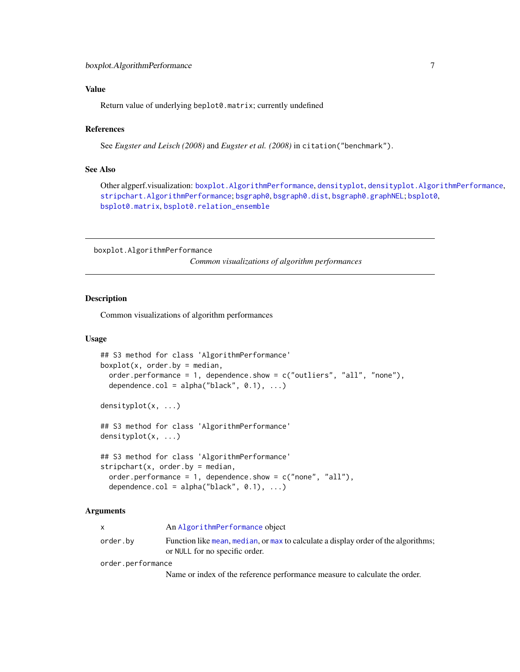#### <span id="page-6-0"></span>Value

Return value of underlying beplot0.matrix; currently undefined

#### References

See *Eugster and Leisch (2008)* and *Eugster et al. (2008)* in citation("benchmark").

#### See Also

Other algperf.visualization: [boxplot.AlgorithmPerformance](#page-6-1), [densityplot](#page-6-2), [densityplot.AlgorithmPerformance](#page-6-2), [stripchart.AlgorithmPerformance](#page-6-2); [bsgraph0](#page-8-1), [bsgraph0.dist](#page-8-2), [bsgraph0.graphNEL](#page-8-2); [bsplot0](#page-9-1), [bsplot0.matrix](#page-9-2), [bsplot0.relation\\_ensemble](#page-9-2)

<span id="page-6-1"></span>boxplot.AlgorithmPerformance

*Common visualizations of algorithm performances*

#### <span id="page-6-2"></span>Description

Common visualizations of algorithm performances

#### Usage

```
## S3 method for class 'AlgorithmPerformance'
boxplot(x, order.by = median,order.performance = 1, dependence.show = c("outliers", "all", "none"),
 dependence.col = alpha("black", 0.1), ...)
```
densityplot(x, ...)

## S3 method for class 'AlgorithmPerformance' densityplot(x, ...)

```
## S3 method for class 'AlgorithmPerformance'
stripchart(x, order.by = median,order.performance = 1, dependence.show = c("none", "all"),dependence.col = alpha("black", 0.1), ...)
```
#### Arguments

|          | An AlgorithmPerformance object                                                     |
|----------|------------------------------------------------------------------------------------|
| order.by | Function like mean, median, or max to calculate a display order of the algorithms; |

or NULL for no specific order.

order.performance

Name or index of the reference performance measure to calculate the order.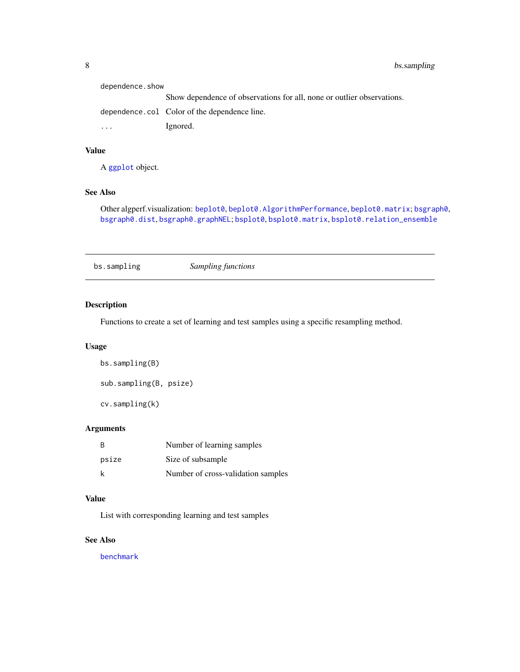<span id="page-7-0"></span>

| dependence.show |                                                                        |
|-----------------|------------------------------------------------------------------------|
|                 | Show dependence of observations for all, none or outlier observations. |
|                 | dependence.col Color of the dependence line.                           |
| $\ddotsc$       | Ignored.                                                               |
|                 |                                                                        |

#### Value

A [ggplot](#page-0-0) object.

### See Also

Other algperf.visualization: [beplot0](#page-5-1), [beplot0.AlgorithmPerformance](#page-5-2), [beplot0.matrix](#page-5-2); [bsgraph0](#page-8-1), [bsgraph0.dist](#page-8-2), [bsgraph0.graphNEL](#page-8-2); [bsplot0](#page-9-1), [bsplot0.matrix](#page-9-2), [bsplot0.relation\\_ensemble](#page-9-2)

bs.sampling *Sampling functions*

#### <span id="page-7-1"></span>Description

Functions to create a set of learning and test samples using a specific resampling method.

### Usage

bs.sampling(B) sub.sampling(B, psize)

cv.sampling(k)

#### Arguments

| -B    | Number of learning samples         |
|-------|------------------------------------|
| psize | Size of subsample                  |
| k     | Number of cross-validation samples |

#### Value

List with corresponding learning and test samples

#### See Also

[benchmark](#page-4-1)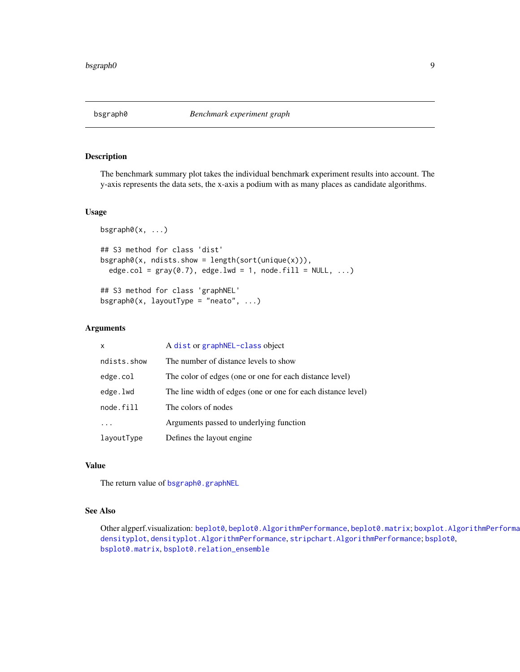<span id="page-8-2"></span><span id="page-8-1"></span><span id="page-8-0"></span>

The benchmark summary plot takes the individual benchmark experiment results into account. The y-axis represents the data sets, the x-axis a podium with as many places as candidate algorithms.

#### Usage

```
bsgraph\theta(x, \ldots)## S3 method for class 'dist'
bsgraph0(x, ndists.show = length(sort(unique(x))),
  edge.col = gray(0.7), edge.lwd = 1, node.fill = NULL, ...)
```
## S3 method for class 'graphNEL'  $bsgraph@(x, layoutType = "neato", ...)$ 

#### Arguments

| X           | A dist or graphNEL-class object                              |
|-------------|--------------------------------------------------------------|
| ndists.show | The number of distance levels to show                        |
| edge.col    | The color of edges (one or one for each distance level)      |
| edge.lwd    | The line width of edges (one or one for each distance level) |
| node.fill   | The colors of nodes                                          |
|             | Arguments passed to underlying function                      |
| layoutType  | Defines the layout engine.                                   |

#### Value

The return value of [bsgraph0.graphNEL](#page-8-2)

#### See Also

Other algperf.visualization: [beplot0](#page-5-1), [beplot0.AlgorithmPerformance](#page-5-2), [beplot0.matrix](#page-5-2); [boxplot.AlgorithmPerformance](#page-6-1), [densityplot](#page-6-2), [densityplot.AlgorithmPerformance](#page-6-2), [stripchart.AlgorithmPerformance](#page-6-2); [bsplot0](#page-9-1), [bsplot0.matrix](#page-9-2), [bsplot0.relation\\_ensemble](#page-9-2)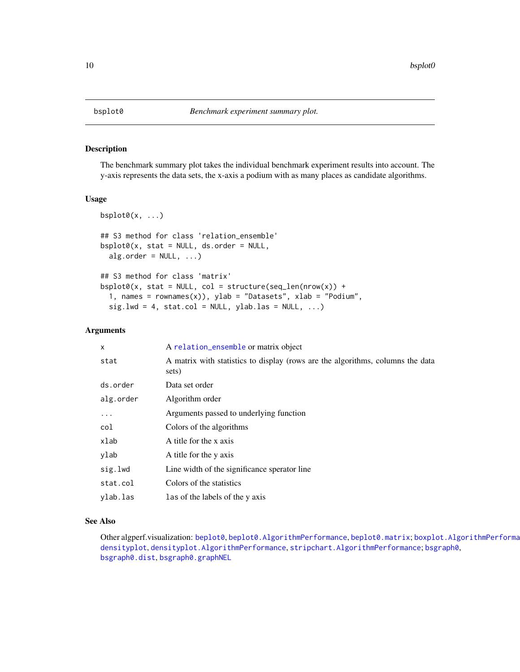The benchmark summary plot takes the individual benchmark experiment results into account. The y-axis represents the data sets, the x-axis a podium with as many places as candidate algorithms.

#### Usage

```
bsplot0(x, \ldots)## S3 method for class 'relation_ensemble'
bsplot0(x, stat = NULL, ds.order = NULL,
  alg.order = NULL, ...)## S3 method for class 'matrix'
bsplot0(x, stat = NULL, col = structure(seq_length(nrow(x)) +1, names = rownames(x)), ylab = "Datasets", xlab = "Podium",
  sig.lwd = 4, stat,col = NULL, ylab.las = NULL, ...)
```
#### Arguments

| X         | A relation_ensemble or matrix object                                                    |
|-----------|-----------------------------------------------------------------------------------------|
| stat      | A matrix with statistics to display (rows are the algorithms, columns the data<br>sets) |
| ds.order  | Data set order                                                                          |
| alg.order | Algorithm order                                                                         |
| $\ddotsc$ | Arguments passed to underlying function                                                 |
| col       | Colors of the algorithms                                                                |
| xlab      | A title for the x axis                                                                  |
| ylab      | A title for the y axis                                                                  |
| sig.lwd   | Line width of the significance sperator line                                            |
| stat.col  | Colors of the statistics                                                                |
| ylab.las  | Las of the labels of the y axis                                                         |

#### See Also

Other algperf.visualization: [beplot0](#page-5-1), [beplot0.AlgorithmPerformance](#page-5-2), [beplot0.matrix](#page-5-2); [boxplot.AlgorithmPerformance](#page-6-1), [densityplot](#page-6-2), [densityplot.AlgorithmPerformance](#page-6-2), [stripchart.AlgorithmPerformance](#page-6-2); [bsgraph0](#page-8-1), [bsgraph0.dist](#page-8-2), [bsgraph0.graphNEL](#page-8-2)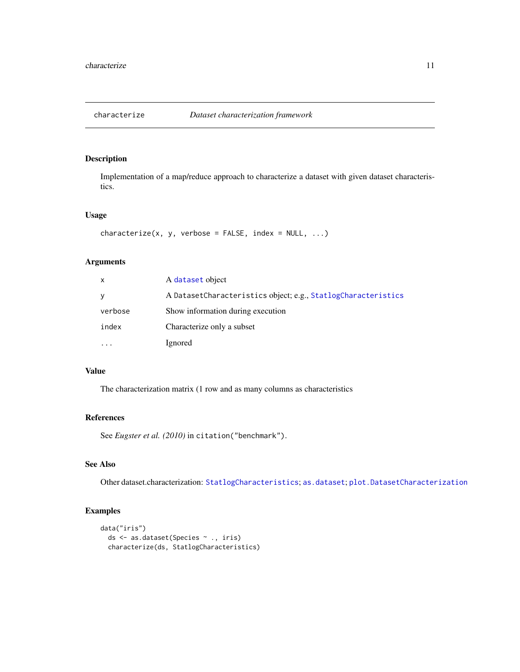<span id="page-10-1"></span><span id="page-10-0"></span>

Implementation of a map/reduce approach to characterize a dataset with given dataset characteristics.

#### Usage

```
characterize(x, y, verbose = FALSE, index = NULL, ...)
```
#### Arguments

| X       | A dataset object                                              |
|---------|---------------------------------------------------------------|
| V       | A DatasetCharacteristics object; e.g., StatlogCharacteristics |
| verbose | Show information during execution                             |
| index   | Characterize only a subset                                    |
|         | Ignored                                                       |

#### Value

The characterization matrix (1 row and as many columns as characteristics

#### References

See *Eugster et al. (2010)* in citation("benchmark").

#### See Also

Other dataset.characterization: [StatlogCharacteristics](#page-14-1); [as.dataset](#page-1-1); [plot.DatasetCharacterization](#page-13-1)

#### Examples

```
data("iris")
  ds <- as.dataset(Species ~ ., iris)
  characterize(ds, StatlogCharacteristics)
```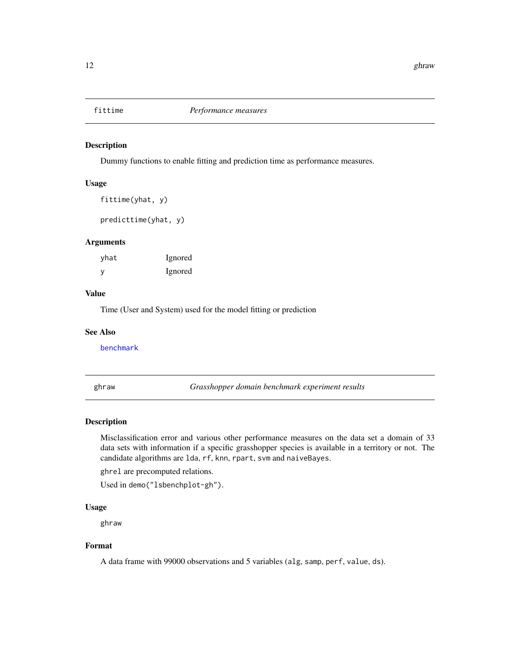<span id="page-11-1"></span><span id="page-11-0"></span>

Dummy functions to enable fitting and prediction time as performance measures.

#### Usage

fittime(yhat, y)

predicttime(yhat, y)

#### Arguments

| yhat | Ignored |
|------|---------|
| y    | Ignored |

#### Value

Time (User and System) used for the model fitting or prediction

#### See Also

[benchmark](#page-4-1)

ghraw *Grasshopper domain benchmark experiment results*

#### Description

Misclassification error and various other performance measures on the data set a domain of 33 data sets with information if a specific grasshopper species is available in a territory or not. The candidate algorithms are lda, rf, knn, rpart, svm and naiveBayes.

ghrel are precomputed relations.

Used in demo("lsbenchplot-gh").

#### Usage

ghraw

#### Format

A data frame with 99000 observations and 5 variables (alg, samp, perf, value, ds).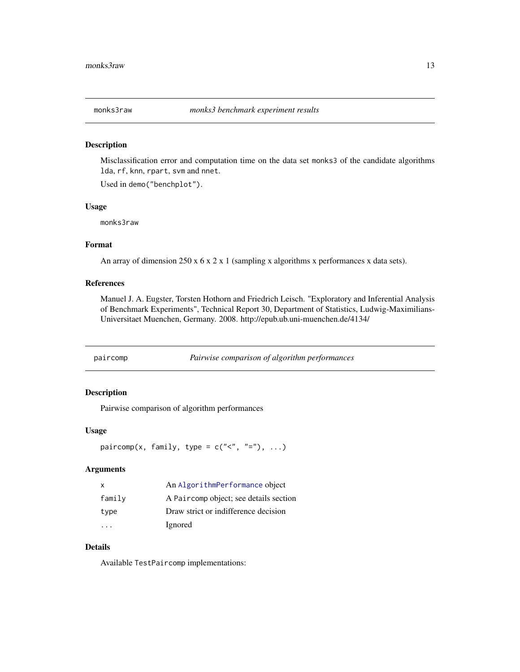<span id="page-12-0"></span>

Misclassification error and computation time on the data set monks3 of the candidate algorithms lda, rf, knn, rpart, svm and nnet.

Used in demo("benchplot").

#### Usage

monks3raw

#### Format

An array of dimension 250 x 6 x 2 x 1 (sampling x algorithms x performances x data sets).

#### References

Manuel J. A. Eugster, Torsten Hothorn and Friedrich Leisch. "Exploratory and Inferential Analysis of Benchmark Experiments", Technical Report 30, Department of Statistics, Ludwig-Maximilians-Universitaet Muenchen, Germany. 2008. http://epub.ub.uni-muenchen.de/4134/

paircomp *Pairwise comparison of algorithm performances*

#### <span id="page-12-1"></span>Description

Pairwise comparison of algorithm performances

#### Usage

paircomp(x, family, type =  $c("<", "='")$ , ...)

#### Arguments

| X      | An AlgorithmPerformance object         |
|--------|----------------------------------------|
| family | A Paircomp object; see details section |
| type   | Draw strict or indifference decision   |
|        | Ignored                                |

#### Details

Available TestPaircomp implementations: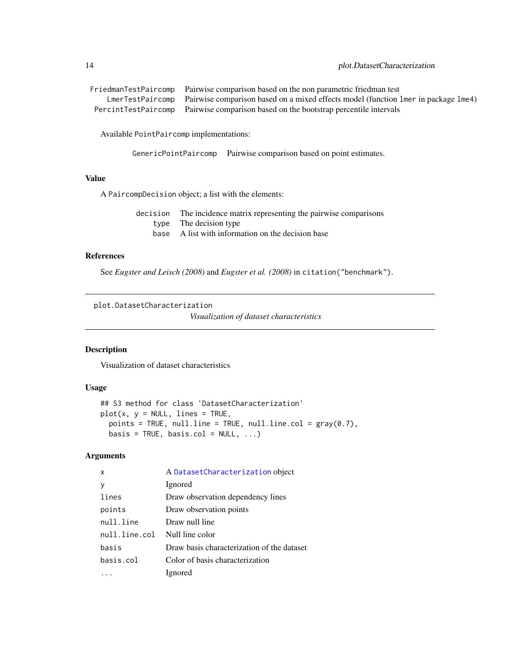```
FriedmanTestPaircomp Pairwise comparison based on the non parametric friedman test
    LmerTestPaircomp Pairwise comparison based on a mixed effects model (function lmer in package lme4)
 PercintTestPaircomp Pairwise comparison based on the bootstrap percentile intervals
```
Available PointPaircomp implementations:

GenericPointPaircomp Pairwise comparison based on point estimates.

#### Value

A PaircompDecision object; a list with the elements:

decision The incidence matrix representing the pairwise comparisons type The decision type base A list with information on the decision base

#### References

See *Eugster and Leisch (2008)* and *Eugster et al. (2008)* in citation("benchmark").

<span id="page-13-1"></span>plot.DatasetCharacterization

*Visualization of dataset characteristics*

#### Description

Visualization of dataset characteristics

#### Usage

```
## S3 method for class 'DatasetCharacterization'
plot(x, y = NULL, lines = TRUE,points = TRUE, null.line = TRUE, null.line.col = gray(0.7),
 basis = TRUE, basis.col = NULL, ...)
```
#### Arguments

| A DatasetCharacterization object           |
|--------------------------------------------|
| Ignored                                    |
| Draw observation dependency lines          |
| Draw observation points                    |
| Draw null line                             |
| Null line color                            |
| Draw basis characterization of the dataset |
| Color of basis characterization            |
| Ignored                                    |
|                                            |

<span id="page-13-0"></span>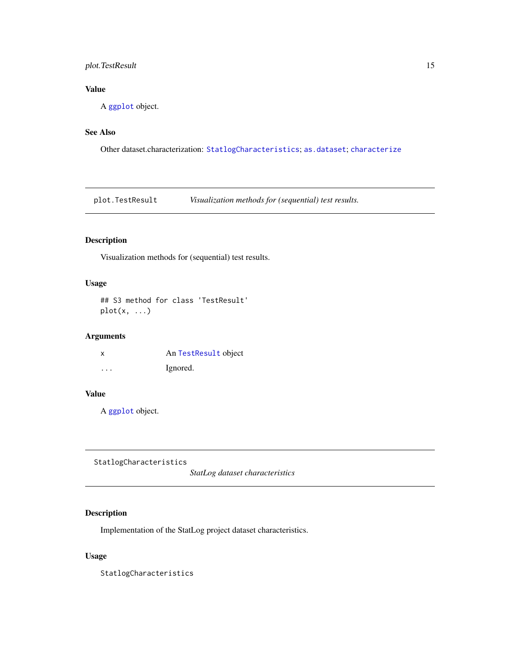#### <span id="page-14-0"></span>plot.TestResult 15

#### Value

A [ggplot](#page-0-0) object.

#### See Also

Other dataset.characterization: [StatlogCharacteristics](#page-14-1); [as.dataset](#page-1-1); [characterize](#page-10-1)

plot.TestResult *Visualization methods for (sequential) test results.*

#### Description

Visualization methods for (sequential) test results.

#### Usage

## S3 method for class 'TestResult'  $plot(x, \ldots)$ 

#### Arguments

| x        | An TestResult object |
|----------|----------------------|
| $\cdots$ | Ignored.             |

#### Value

A [ggplot](#page-0-0) object.

<span id="page-14-1"></span>StatlogCharacteristics

*StatLog dataset characteristics*

### Description

Implementation of the StatLog project dataset characteristics.

#### Usage

StatlogCharacteristics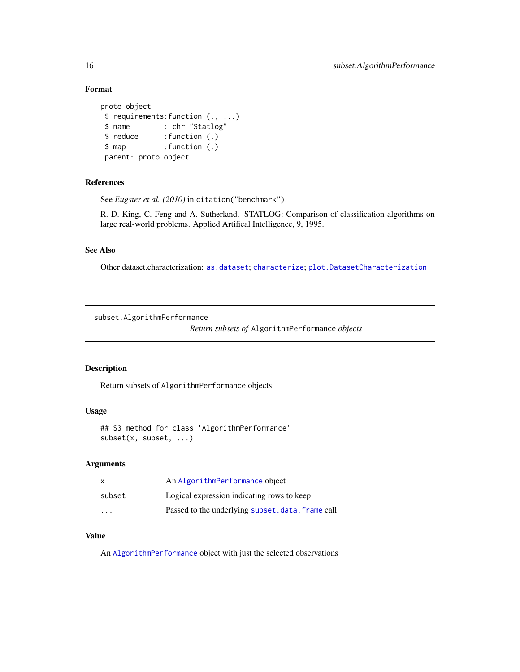#### Format

```
proto object
$ requirements:function (., ...)
$ name : chr "Statlog"
$ reduce :function (.)
$ map :function (.)
parent: proto object
```
#### References

See *Eugster et al. (2010)* in citation("benchmark").

R. D. King, C. Feng and A. Sutherland. STATLOG: Comparison of classification algorithms on large real-world problems. Applied Artifical Intelligence, 9, 1995.

#### See Also

Other dataset.characterization: [as.dataset](#page-1-1); [characterize](#page-10-1); [plot.DatasetCharacterization](#page-13-1)

subset.AlgorithmPerformance

*Return subsets of* AlgorithmPerformance *objects*

#### Description

Return subsets of AlgorithmPerformance objects

#### Usage

```
## S3 method for class 'AlgorithmPerformance'
subset(x, subset, ...)
```
#### Arguments

| X      | An AlgorithmPerformance object                  |
|--------|-------------------------------------------------|
| subset | Logical expression indicating rows to keep      |
| .      | Passed to the underlying subset.data.frame call |

#### Value

An [AlgorithmPerformance](#page-17-2) object with just the selected observations

<span id="page-15-0"></span>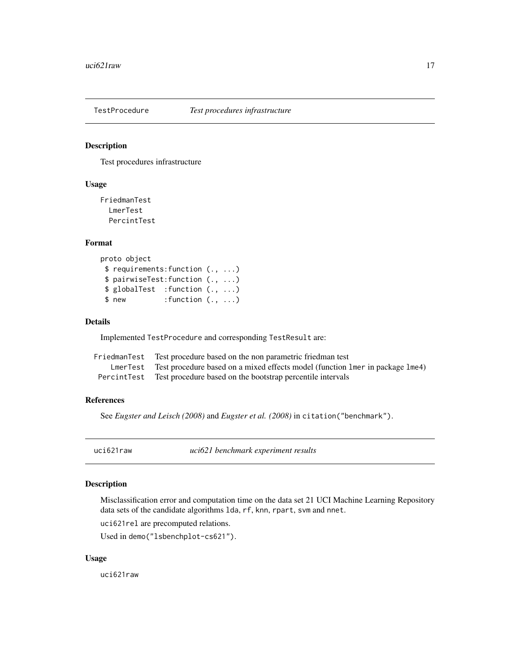<span id="page-16-1"></span><span id="page-16-0"></span>

Test procedures infrastructure

#### Usage

FriedmanTest LmerTest PercintTest

#### Format

```
proto object
$ requirements:function (., ...)
$ pairwiseTest:function (., ...)
$ globalTest :function (., ...)
$ new : function (., ...)
```
#### Details

Implemented TestProcedure and corresponding TestResult are:

| FriedmanTest Test procedure based on the non parametric friedman test                  |
|----------------------------------------------------------------------------------------|
| LmerTest Test procedure based on a mixed effects model (function lmer in package lme4) |
| Percint Test Test procedure based on the bootstrap percentile intervals                |

#### References

See *Eugster and Leisch (2008)* and *Eugster et al. (2008)* in citation("benchmark").

uci621raw *uci621 benchmark experiment results*

#### Description

Misclassification error and computation time on the data set 21 UCI Machine Learning Repository data sets of the candidate algorithms lda, rf, knn, rpart, svm and nnet.

uci621rel are precomputed relations.

Used in demo("lsbenchplot-cs621").

#### Usage

uci621raw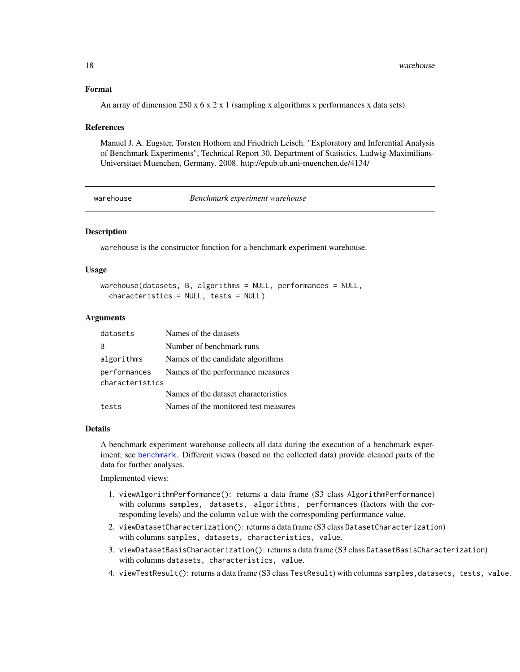#### Format

An array of dimension  $250 \times 6 \times 2 \times 1$  (sampling x algorithms x performances x data sets).

#### References

Manuel J. A. Eugster, Torsten Hothorn and Friedrich Leisch. "Exploratory and Inferential Analysis of Benchmark Experiments", Technical Report 30, Department of Statistics, Ludwig-Maximilians-Universitaet Muenchen, Germany. 2008. http://epub.ub.uni-muenchen.de/4134/

<span id="page-17-1"></span>

warehouse *Benchmark experiment warehouse*

#### <span id="page-17-2"></span>Description

warehouse is the constructor function for a benchmark experiment warehouse.

#### Usage

```
warehouse(datasets, B, algorithms = NULL, performances = NULL,
  characteristics = NULL, tests = NULL)
```
#### Arguments

| datasets        | Names of the datasets                |
|-----------------|--------------------------------------|
| R               | Number of benchmark runs             |
| algorithms      | Names of the candidate algorithms    |
| performances    | Names of the performance measures    |
| characteristics |                                      |
|                 | Names of the dataset characteristics |
| tests           | Names of the monitored test measures |

#### Details

A benchmark experiment warehouse collects all data during the execution of a benchmark experiment; see [benchmark](#page-4-1). Different views (based on the collected data) provide cleaned parts of the data for further analyses.

Implemented views:

- 1. viewAlgorithmPerformance(): returns a data frame (S3 class AlgorithmPerformance) with columns samples, datasets, algorithms, performances (factors with the corresponding levels) and the column value with the corresponding performance value.
- 2. viewDatasetCharacterization(): returns a data frame (S3 class DatasetCharacterization) with columns samples, datasets, characteristics, value.
- 3. viewDatasetBasisCharacterization(): returns a data frame (S3 class DatasetBasisCharacterization) with columns datasets, characteristics, value.
- 4. viewTestResult(): returns a data frame (S3 class TestResult) with columns samples,datasets, tests, value.

<span id="page-17-0"></span>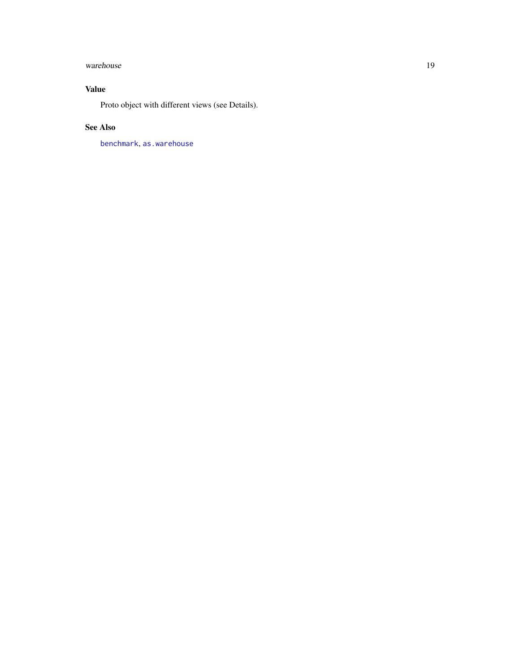#### <span id="page-18-0"></span>warehouse 19

#### Value

Proto object with different views (see Details).

#### See Also

[benchmark](#page-4-1), [as.warehouse](#page-3-1)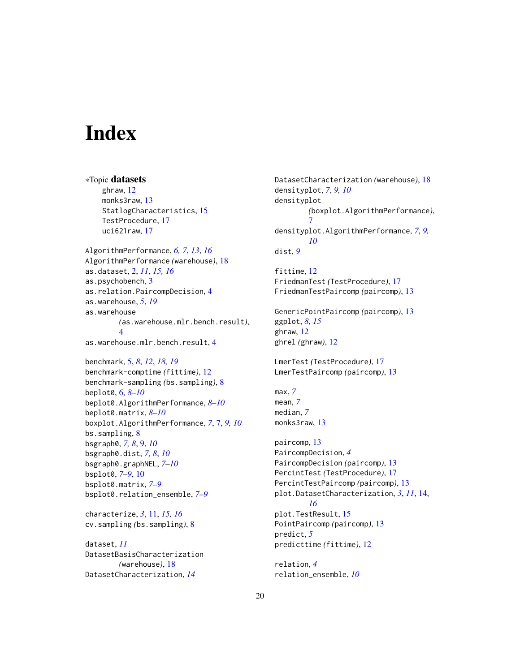# <span id="page-19-0"></span>**Index**

∗Topic datasets ghraw, [12](#page-11-0) monks3raw, [13](#page-12-0) StatlogCharacteristics, [15](#page-14-0) TestProcedure, [17](#page-16-0) uci621raw, [17](#page-16-0) AlgorithmPerformance, *[6,](#page-5-0) [7](#page-6-0)*, *[13](#page-12-0)*, *[16](#page-15-0)* AlgorithmPerformance *(*warehouse*)*, [18](#page-17-0) as.dataset, [2,](#page-1-0) *[11](#page-10-0)*, *[15,](#page-14-0) [16](#page-15-0)* as.psychobench, [3](#page-2-0) as.relation.PaircompDecision, [4](#page-3-0) as.warehouse, *[5](#page-4-0)*, *[19](#page-18-0)* as.warehouse *(*as.warehouse.mlr.bench.result*)*, [4](#page-3-0) as.warehouse.mlr.bench.result, [4](#page-3-0)

benchmark, [5,](#page-4-0) *[8](#page-7-0)*, *[12](#page-11-0)*, *[18,](#page-17-0) [19](#page-18-0)* benchmark-comptime *(*fittime*)*, [12](#page-11-0) benchmark-sampling *(*bs.sampling*)*, [8](#page-7-0) beplot0, [6,](#page-5-0) *[8](#page-7-0)[–10](#page-9-0)* beplot0.AlgorithmPerformance, *[8–](#page-7-0)[10](#page-9-0)* beplot0.matrix, *[8](#page-7-0)[–10](#page-9-0)* boxplot.AlgorithmPerformance, *[7](#page-6-0)*, [7,](#page-6-0) *[9,](#page-8-0) [10](#page-9-0)* bs.sampling, [8](#page-7-0) bsgraph0, *[7,](#page-6-0) [8](#page-7-0)*, [9,](#page-8-0) *[10](#page-9-0)* bsgraph0.dist, *[7,](#page-6-0) [8](#page-7-0)*, *[10](#page-9-0)* bsgraph0.graphNEL, *[7–](#page-6-0)[10](#page-9-0)* bsplot0, *[7](#page-6-0)[–9](#page-8-0)*, [10](#page-9-0) bsplot0.matrix, *[7](#page-6-0)[–9](#page-8-0)* bsplot0.relation\_ensemble, *[7–](#page-6-0)[9](#page-8-0)*

characterize, *[3](#page-2-0)*, [11,](#page-10-0) *[15,](#page-14-0) [16](#page-15-0)* cv.sampling *(*bs.sampling*)*, [8](#page-7-0)

dataset, *[11](#page-10-0)* DatasetBasisCharacterization *(*warehouse*)*, [18](#page-17-0) DatasetCharacterization, *[14](#page-13-0)*

DatasetCharacterization *(*warehouse*)*, [18](#page-17-0) densityplot, *[7](#page-6-0)*, *[9,](#page-8-0) [10](#page-9-0)* densityplot *(*boxplot.AlgorithmPerformance*)*, [7](#page-6-0) densityplot.AlgorithmPerformance, *[7](#page-6-0)*, *[9,](#page-8-0) [10](#page-9-0)* dist, *[9](#page-8-0)* fittime, [12](#page-11-0) FriedmanTest *(*TestProcedure*)*, [17](#page-16-0) FriedmanTestPaircomp *(*paircomp*)*, [13](#page-12-0) GenericPointPaircomp *(*paircomp*)*, [13](#page-12-0) ggplot, *[8](#page-7-0)*, *[15](#page-14-0)* ghraw, [12](#page-11-0) ghrel *(*ghraw*)*, [12](#page-11-0) LmerTest *(*TestProcedure*)*, [17](#page-16-0) LmerTestPaircomp *(*paircomp*)*, [13](#page-12-0) max, *[7](#page-6-0)* mean, *[7](#page-6-0)* median, *[7](#page-6-0)* monks3raw, [13](#page-12-0) paircomp, [13](#page-12-0) PaircompDecision, *[4](#page-3-0)* PaircompDecision *(*paircomp*)*, [13](#page-12-0) PercintTest *(*TestProcedure*)*, [17](#page-16-0) PercintTestPaircomp *(*paircomp*)*, [13](#page-12-0) plot.DatasetCharacterization, *[3](#page-2-0)*, *[11](#page-10-0)*, [14,](#page-13-0) *[16](#page-15-0)* plot.TestResult, [15](#page-14-0) PointPaircomp *(*paircomp*)*, [13](#page-12-0) predict, *[5](#page-4-0)* predicttime *(*fittime*)*, [12](#page-11-0) relation, *[4](#page-3-0)* relation\_ensemble, *[10](#page-9-0)*